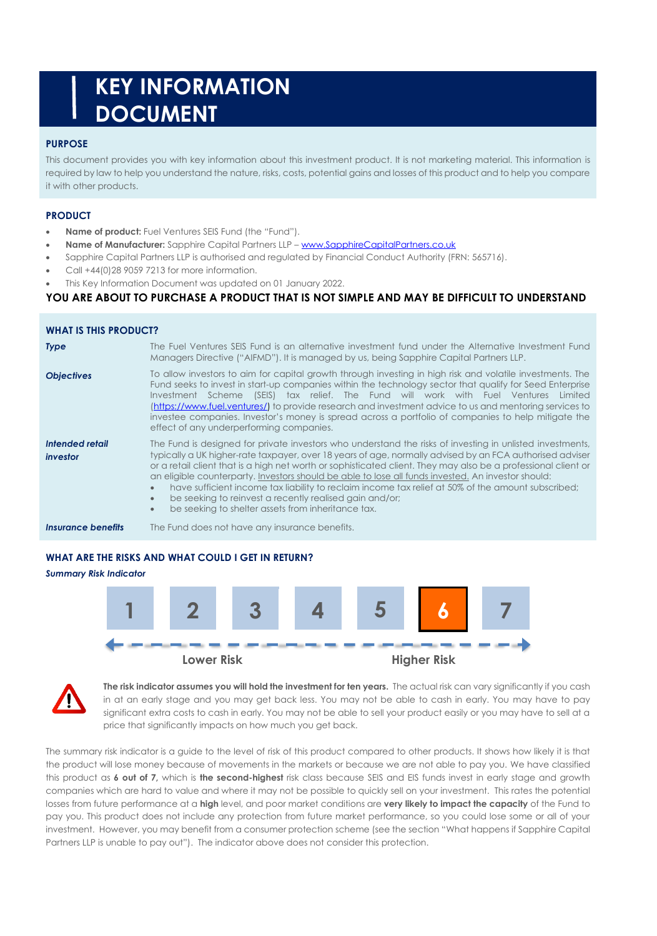# **KEY INFORMATION DOCUMENT**

## **PURPOSE**

This document provides you with key information about this investment product. It is not marketing material. This information is required by law to help you understand the nature, risks, costs, potential gains and losses of this product and to help you compare it with other products.

# **PRODUCT**

- **Name of product:** Fuel Ventures SEIS Fund (the "Fund").
- **Name of Manufacturer:** Sapphire Capital Partners LLP [www.SapphireCapitalPartners.co.uk](http://www.sapphirecapitalpartners.co.uk/)
- Sapphire Capital Partners LLP is authorised and regulated by Financial Conduct Authority (FRN: 565716).
- Call +44(0)28 9059 7213 for more information.
- This Key Information Document was updated on 01 January 2022.

### **YOU ARE ABOUT TO PURCHASE A PRODUCT THAT IS NOT SIMPLE AND MAY BE DIFFICULT TO UNDERSTAND**

| <b>WHAT IS THIS PRODUCT?</b> |                                                                                                                                                                                                                                                                                                                                                                                                                                                                                                                                                                                                                                                                                                |  |  |  |  |
|------------------------------|------------------------------------------------------------------------------------------------------------------------------------------------------------------------------------------------------------------------------------------------------------------------------------------------------------------------------------------------------------------------------------------------------------------------------------------------------------------------------------------------------------------------------------------------------------------------------------------------------------------------------------------------------------------------------------------------|--|--|--|--|
| <b>Type</b>                  | The Fuel Ventures SEIS Fund is an alternative investment fund under the Alternative Investment Fund<br>Managers Directive ("AIFMD"). It is managed by us, being Sapphire Capital Partners LLP.                                                                                                                                                                                                                                                                                                                                                                                                                                                                                                 |  |  |  |  |
| <b>Objectives</b>            | To allow investors to aim for capital growth through investing in high risk and volatile investments. The<br>Fund seeks to invest in start-up companies within the technology sector that qualify for Seed Enterprise<br>Investment Scheme (SEIS) tax relief. The Fund will work with Fuel Ventures<br>Limited<br>(https://www.fuel.ventures/) to provide research and investment advice to us and mentoring services to<br>investee companies, Investor's money is spread across a portfolio of companies to help mitigate the<br>effect of any underperforming companies.                                                                                                                    |  |  |  |  |
| Intended retail<br>investor  | The Fund is designed for private investors who understand the risks of investing in unlisted investments,<br>typically a UK higher-rate taxpayer, over 18 years of age, normally advised by an FCA authorised adviser<br>or a retail client that is a high net worth or sophisticated client. They may also be a professional client or<br>an eligible counterparty. Investors should be able to lose all funds invested. An investor should:<br>have sufficient income tax liability to reclaim income tax relief at 50% of the amount subscribed;<br>be seeking to reinvest a recently realised gain and/or;<br>$\bullet$<br>be seeking to shelter assets from inheritance tax.<br>$\bullet$ |  |  |  |  |
| Insurance benefits           | The Fund does not have any insurance benefits.                                                                                                                                                                                                                                                                                                                                                                                                                                                                                                                                                                                                                                                 |  |  |  |  |

# **WHAT ARE THE RISKS AND WHAT COULD I GET IN RETURN?**

# *Summary Risk Indicator* **1 2 3 4 5 6 7 Lower Risk Higher Risk**



**The risk indicator assumes you will hold the investment for ten years.** The actual risk can vary significantly if you cash in at an early stage and you may get back less. You may not be able to cash in early. You may have to pay significant extra costs to cash in early. You may not be able to sell your product easily or you may have to sell at a price that significantly impacts on how much you get back.

The summary risk indicator is a guide to the level of risk of this product compared to other products. It shows how likely it is that the product will lose money because of movements in the markets or because we are not able to pay you. We have classified this product as **6 out of 7,** which is **the second-highest** risk class because SEIS and EIS funds invest in early stage and growth companies which are hard to value and where it may not be possible to quickly sell on your investment. This rates the potential losses from future performance at a **high** level, and poor market conditions are **very likely to impact the capacity** of the Fund to pay you. This product does not include any protection from future market performance, so you could lose some or all of your investment. However, you may benefit from a consumer protection scheme (see the section "What happens if Sapphire Capital Partners LLP is unable to pay out"). The indicator above does not consider this protection.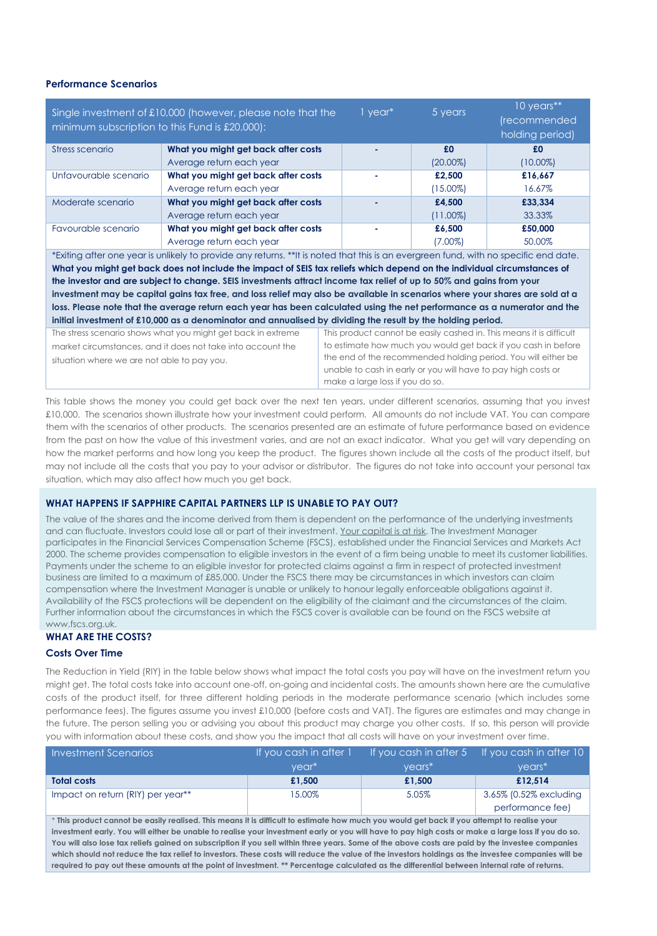#### **Performance Scenarios**

|                                                                                                                                      | 1 year*                                                                                                                      | 5 years                                                             | 10 years**      |             |  |  |
|--------------------------------------------------------------------------------------------------------------------------------------|------------------------------------------------------------------------------------------------------------------------------|---------------------------------------------------------------------|-----------------|-------------|--|--|
| Single investment of £10,000 (however, please note that the                                                                          |                                                                                                                              |                                                                     | (recommended    |             |  |  |
| minimum subscription to this Fund is £20,000):                                                                                       |                                                                                                                              |                                                                     | holding period) |             |  |  |
| Stress scenario                                                                                                                      | What you might get back after costs                                                                                          |                                                                     | £0              | £0          |  |  |
|                                                                                                                                      | Average return each year                                                                                                     |                                                                     | $(20.00\%)$     | $(10.00\%)$ |  |  |
| Unfavourable scenario                                                                                                                | What you might get back after costs                                                                                          |                                                                     | £2,500          | £16,667     |  |  |
|                                                                                                                                      | Average return each year                                                                                                     |                                                                     | $(15.00\%)$     | 16.67%      |  |  |
| Moderate scenario                                                                                                                    | What you might get back after costs                                                                                          |                                                                     | £4,500          | £33,334     |  |  |
|                                                                                                                                      | Average return each year                                                                                                     |                                                                     | $(11.00\%)$     | 33.33%      |  |  |
| Favourable scenario                                                                                                                  | What you might get back after costs                                                                                          |                                                                     | £6,500          | £50,000     |  |  |
|                                                                                                                                      | Average return each year                                                                                                     |                                                                     | $(7.00\%)$      | 50.00%      |  |  |
| *Exiting after one year is unlikely to provide any returns. **It is noted that this is an evergreen fund, with no specific end date. |                                                                                                                              |                                                                     |                 |             |  |  |
|                                                                                                                                      | What you might get back does not include the impact of SEIS tax reliefs which depend on the individual circumstances of      |                                                                     |                 |             |  |  |
| the investor and are subject to change. SEIS investments attract income tax relief of up to 50% and gains from your                  |                                                                                                                              |                                                                     |                 |             |  |  |
|                                                                                                                                      | investment may be capital gains tax free, and loss relief may also be available in scenarios where your shares are sold at a |                                                                     |                 |             |  |  |
| loss. Please note that the average return each year has been calculated using the net performance as a numerator and the             |                                                                                                                              |                                                                     |                 |             |  |  |
| initial investment of £10,000 as a denominator and annualised by dividing the result by the holding period.                          |                                                                                                                              |                                                                     |                 |             |  |  |
| The stress scenario shows what you might get back in extreme                                                                         |                                                                                                                              | This product cannot be easily cashed in. This means it is difficult |                 |             |  |  |
| market circumstances, and it does not take into account the                                                                          |                                                                                                                              | to estimate how much you would get back if you cash in before       |                 |             |  |  |
| situation where we are not able to pay you.                                                                                          | the end of the recommended holding period. You will either be                                                                |                                                                     |                 |             |  |  |
|                                                                                                                                      |                                                                                                                              | unable to cash in early or you will have to pay high costs or       |                 |             |  |  |
|                                                                                                                                      |                                                                                                                              | make a large loss if you do so.                                     |                 |             |  |  |

This table shows the money you could get back over the next ten years, under different scenarios, assuming that you invest £10,000. The scenarios shown illustrate how your investment could perform. All amounts do not include VAT. You can compare them with the scenarios of other products. The scenarios presented are an estimate of future performance based on evidence from the past on how the value of this investment varies, and are not an exact indicator. What you get will vary depending on how the market performs and how long you keep the product. The figures shown include all the costs of the product itself, but may not include all the costs that you pay to your advisor or distributor. The figures do not take into account your personal tax situation, which may also affect how much you get back.

#### **WHAT HAPPENS IF SAPPHIRE CAPITAL PARTNERS LLP IS UNABLE TO PAY OUT?**

The value of the shares and the income derived from them is dependent on the performance of the underlying investments and can fluctuate. Investors could lose all or part of their investment. Your capital is at risk. The Investment Manager participates in the Financial Services Compensation Scheme (FSCS), established under the Financial Services and Markets Act 2000. The scheme provides compensation to eligible investors in the event of a firm being unable to meet its customer liabilities. Payments under the scheme to an eligible investor for protected claims against a firm in respect of protected investment business are limited to a maximum of £85,000. Under the FSCS there may be circumstances in which investors can claim compensation where the Investment Manager is unable or unlikely to honour legally enforceable obligations against it. Availability of the FSCS protections will be dependent on the eligibility of the claimant and the circumstances of the claim. Further information about the circumstances in which the FSCS cover is available can be found on the FSCS website at www.fscs.org.uk.

#### **WHAT ARE THE COSTS?**

#### **Costs Over Time**

The Reduction in Yield (RIY) in the table below shows what impact the total costs you pay will have on the investment return you might get. The total costs take into account one-off, on-going and incidental costs. The amounts shown here are the cumulative costs of the product itself, for three different holding periods in the moderate performance scenario (which includes some performance fees). The figures assume you invest £10,000 (before costs and VAT). The figures are estimates and may change in the future. The person selling you or advising you about this product may charge you other costs. If so, this person will provide you with information about these costs, and show you the impact that all costs will have on your investment over time.

| <b>Investment Scenarios</b>       | If you cash in after 1 |          | If you cash in after 5 If you cash in after $101$ |
|-----------------------------------|------------------------|----------|---------------------------------------------------|
|                                   | vear <sup>*</sup>      | $vears*$ | $vears*$                                          |
| <b>Total costs</b>                | £1.500                 | £1.500   | £12.514                                           |
| Impact on return (RIY) per year** | 15.00%                 | 5.05%    | 3.65% (0.52% excluding                            |
|                                   |                        |          | performance fee)                                  |

\* **This product cannot be easily realised. This means it is difficult to estimate how much you would get back if you attempt to realise your investment early. You will either be unable to realise your investment early or you will have to pay high costs or make a large loss if you do so. You will also lose tax reliefs gained on subscription if you sell within three years. Some of the above costs are paid by the investee companies which should not reduce the tax relief to investors. These costs will reduce the value of the investors holdings as the investee companies will be required to pay out these amounts at the point of investment. \*\* Percentage calculated as the differential between internal rate of returns.**